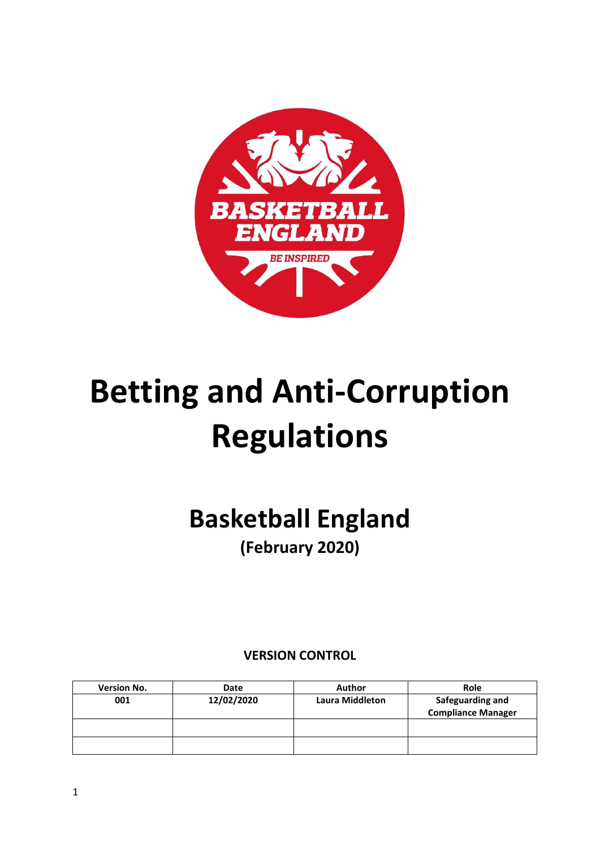

# **Betting and Anti-Corruption Regulations**

## **Basketball England (February 2020)**

### **VERSION CONTROL**

| <b>Version No.</b> | Date       | Author                 | Role                                          |
|--------------------|------------|------------------------|-----------------------------------------------|
| 001                | 12/02/2020 | <b>Laura Middleton</b> | Safeguarding and<br><b>Compliance Manager</b> |
|                    |            |                        |                                               |
|                    |            |                        |                                               |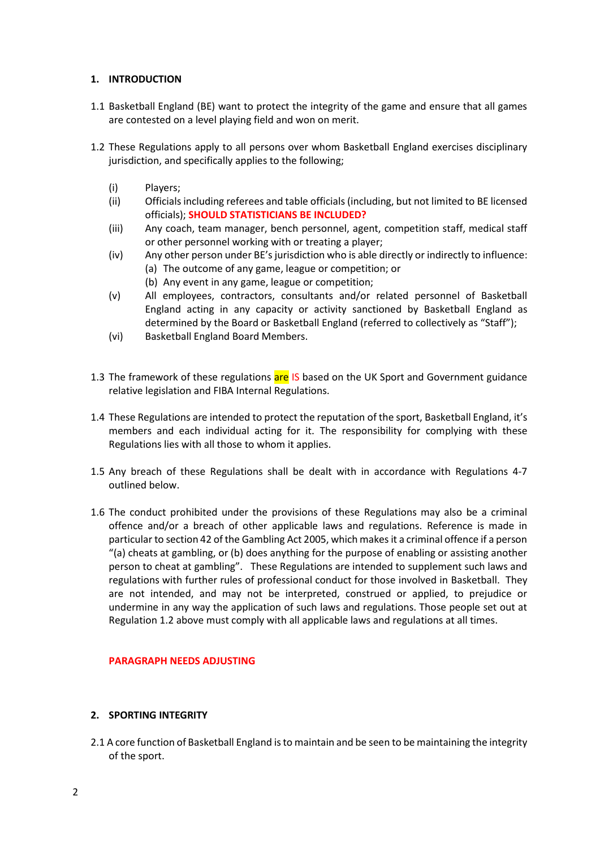#### **1. INTRODUCTION**

- 1.1 Basketball England (BE) want to protect the integrity of the game and ensure that all games are contested on a level playing field and won on merit.
- 1.2 These Regulations apply to all persons over whom Basketball England exercises disciplinary jurisdiction, and specifically applies to the following;
	- (i) Players;
	- (ii) Officials including referees and table officials (including, but not limited to BE licensed officials); **SHOULD STATISTICIANS BE INCLUDED?**
	- (iii) Any coach, team manager, bench personnel, agent, competition staff, medical staff or other personnel working with or treating a player;
	- (iv) Any other person under BE's jurisdiction who is able directly or indirectly to influence: (a) The outcome of any game, league or competition; or
		- (b) Any event in any game, league or competition;
	- (v) All employees, contractors, consultants and/or related personnel of Basketball England acting in any capacity or activity sanctioned by Basketball England as determined by the Board or Basketball England (referred to collectively as "Staff");
	- (vi) Basketball England Board Members.
- 1.3 The framework of these regulations are IS based on the UK Sport and Government guidance relative legislation and FIBA Internal Regulations.
- 1.4 These Regulations are intended to protect the reputation of the sport, Basketball England, it's members and each individual acting for it. The responsibility for complying with these Regulations lies with all those to whom it applies.
- 1.5 Any breach of these Regulations shall be dealt with in accordance with Regulations 4-7 outlined below.
- 1.6 The conduct prohibited under the provisions of these Regulations may also be a criminal offence and/or a breach of other applicable laws and regulations. Reference is made in particular to section 42 of the Gambling Act 2005, which makes it a criminal offence if a person "(a) cheats at gambling, or (b) does anything for the purpose of enabling or assisting another person to cheat at gambling". These Regulations are intended to supplement such laws and regulations with further rules of professional conduct for those involved in Basketball. They are not intended, and may not be interpreted, construed or applied, to prejudice or undermine in any way the application of such laws and regulations. Those people set out at Regulation 1.2 above must comply with all applicable laws and regulations at all times.

#### **PARAGRAPH NEEDS ADJUSTING**

#### **2. SPORTING INTEGRITY**

2.1 A core function of Basketball England is to maintain and be seen to be maintaining the integrity of the sport.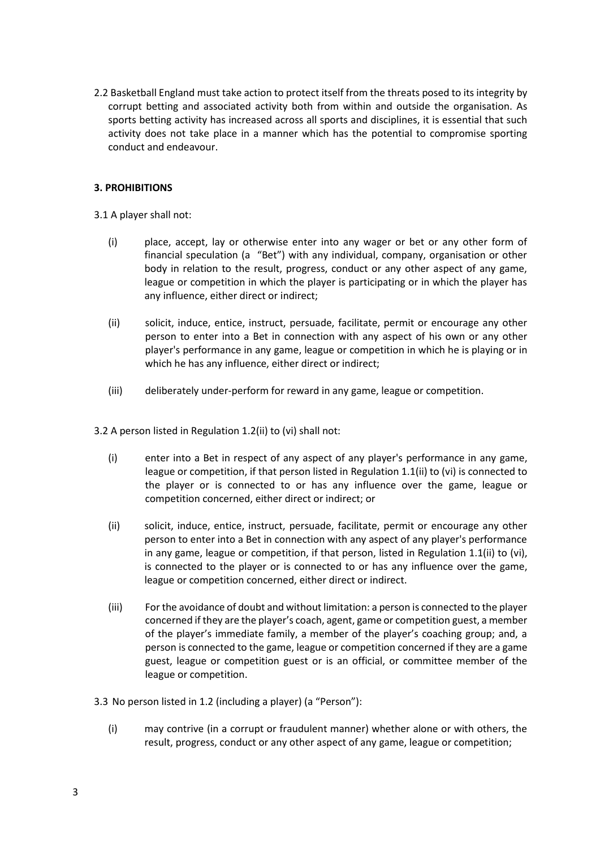2.2 Basketball England must take action to protect itself from the threats posed to its integrity by corrupt betting and associated activity both from within and outside the organisation. As sports betting activity has increased across all sports and disciplines, it is essential that such activity does not take place in a manner which has the potential to compromise sporting conduct and endeavour.

#### **3. PROHIBITIONS**

3.1 A player shall not:

- (i) place, accept, lay or otherwise enter into any wager or bet or any other form of financial speculation (a "Bet") with any individual, company, organisation or other body in relation to the result, progress, conduct or any other aspect of any game, league or competition in which the player is participating or in which the player has any influence, either direct or indirect;
- (ii) solicit, induce, entice, instruct, persuade, facilitate, permit or encourage any other person to enter into a Bet in connection with any aspect of his own or any other player's performance in any game, league or competition in which he is playing or in which he has any influence, either direct or indirect;
- (iii) deliberately under-perform for reward in any game, league or competition.

3.2 A person listed in Regulation 1.2(ii) to (vi) shall not:

- (i) enter into a Bet in respect of any aspect of any player's performance in any game, league or competition, if that person listed in Regulation 1.1(ii) to (vi) is connected to the player or is connected to or has any influence over the game, league or competition concerned, either direct or indirect; or
- (ii) solicit, induce, entice, instruct, persuade, facilitate, permit or encourage any other person to enter into a Bet in connection with any aspect of any player's performance in any game, league or competition, if that person, listed in Regulation 1.1(ii) to (vi), is connected to the player or is connected to or has any influence over the game, league or competition concerned, either direct or indirect.
- (iii) For the avoidance of doubt and without limitation: a person is connected to the player concerned if they are the player's coach, agent, game or competition guest, a member of the player's immediate family, a member of the player's coaching group; and, a person is connected to the game, league or competition concerned if they are a game guest, league or competition guest or is an official, or committee member of the league or competition.
- 3.3 No person listed in 1.2 (including a player) (a "Person"):
	- (i) may contrive (in a corrupt or fraudulent manner) whether alone or with others, the result, progress, conduct or any other aspect of any game, league or competition;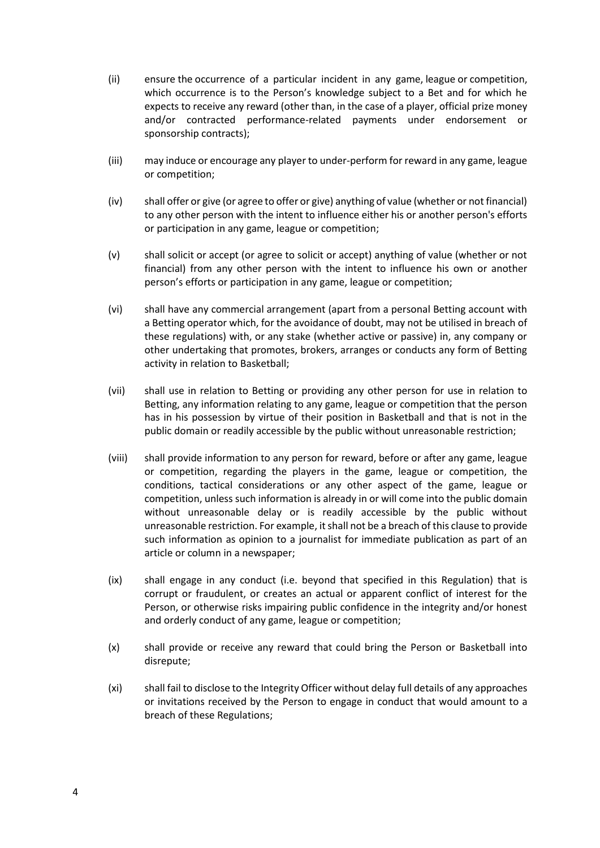- (ii) ensure the occurrence of a particular incident in any game, league or competition, which occurrence is to the Person's knowledge subject to a Bet and for which he expects to receive any reward (other than, in the case of a player, official prize money and/or contracted performance-related payments under endorsement or sponsorship contracts);
- (iii) may induce or encourage any player to under-perform for reward in any game, league or competition;
- (iv) shall offer or give (or agree to offer or give) anything of value (whether or not financial) to any other person with the intent to influence either his or another person's efforts or participation in any game, league or competition;
- (v) shall solicit or accept (or agree to solicit or accept) anything of value (whether or not financial) from any other person with the intent to influence his own or another person's efforts or participation in any game, league or competition;
- (vi) shall have any commercial arrangement (apart from a personal Betting account with a Betting operator which, for the avoidance of doubt, may not be utilised in breach of these regulations) with, or any stake (whether active or passive) in, any company or other undertaking that promotes, brokers, arranges or conducts any form of Betting activity in relation to Basketball;
- (vii) shall use in relation to Betting or providing any other person for use in relation to Betting, any information relating to any game, league or competition that the person has in his possession by virtue of their position in Basketball and that is not in the public domain or readily accessible by the public without unreasonable restriction;
- (viii) shall provide information to any person for reward, before or after any game, league or competition, regarding the players in the game, league or competition, the conditions, tactical considerations or any other aspect of the game, league or competition, unless such information is already in or will come into the public domain without unreasonable delay or is readily accessible by the public without unreasonable restriction. For example, it shall not be a breach of this clause to provide such information as opinion to a journalist for immediate publication as part of an article or column in a newspaper;
- (ix) shall engage in any conduct (i.e. beyond that specified in this Regulation) that is corrupt or fraudulent, or creates an actual or apparent conflict of interest for the Person, or otherwise risks impairing public confidence in the integrity and/or honest and orderly conduct of any game, league or competition;
- (x) shall provide or receive any reward that could bring the Person or Basketball into disrepute;
- (xi) shall fail to disclose to the Integrity Officer without delay full details of any approaches or invitations received by the Person to engage in conduct that would amount to a breach of these Regulations;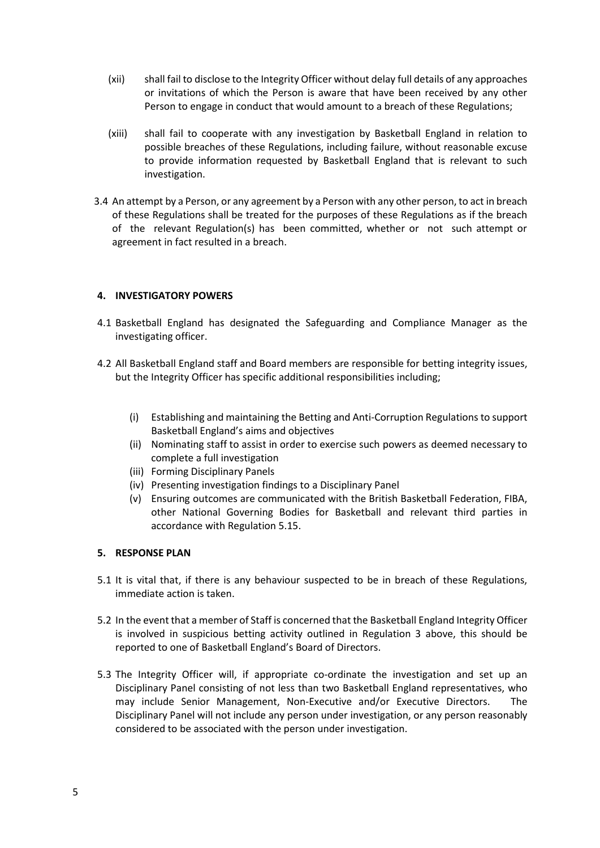- (xii) shall fail to disclose to the Integrity Officer without delay full details of any approaches or invitations of which the Person is aware that have been received by any other Person to engage in conduct that would amount to a breach of these Regulations;
- (xiii) shall fail to cooperate with any investigation by Basketball England in relation to possible breaches of these Regulations, including failure, without reasonable excuse to provide information requested by Basketball England that is relevant to such investigation.
- 3.4 An attempt by a Person, or any agreement by a Person with any other person, to act in breach of these Regulations shall be treated for the purposes of these Regulations as if the breach of the relevant Regulation(s) has been committed, whether or not such attempt or agreement in fact resulted in a breach.

#### **4. INVESTIGATORY POWERS**

- 4.1 Basketball England has designated the Safeguarding and Compliance Manager as the investigating officer.
- 4.2 All Basketball England staff and Board members are responsible for betting integrity issues, but the Integrity Officer has specific additional responsibilities including;
	- (i) Establishing and maintaining the Betting and Anti-Corruption Regulations to support Basketball England's aims and objectives
	- (ii) Nominating staff to assist in order to exercise such powers as deemed necessary to complete a full investigation
	- (iii) Forming Disciplinary Panels
	- (iv) Presenting investigation findings to a Disciplinary Panel
	- (v) Ensuring outcomes are communicated with the British Basketball Federation, FIBA, other National Governing Bodies for Basketball and relevant third parties in accordance with Regulation 5.15.

#### **5. RESPONSE PLAN**

- 5.1 It is vital that, if there is any behaviour suspected to be in breach of these Regulations, immediate action is taken.
- 5.2 In the event that a member of Staff is concerned that the Basketball England Integrity Officer is involved in suspicious betting activity outlined in Regulation 3 above, this should be reported to one of Basketball England's Board of Directors.
- 5.3 The Integrity Officer will, if appropriate co-ordinate the investigation and set up an Disciplinary Panel consisting of not less than two Basketball England representatives, who may include Senior Management, Non-Executive and/or Executive Directors. The Disciplinary Panel will not include any person under investigation, or any person reasonably considered to be associated with the person under investigation.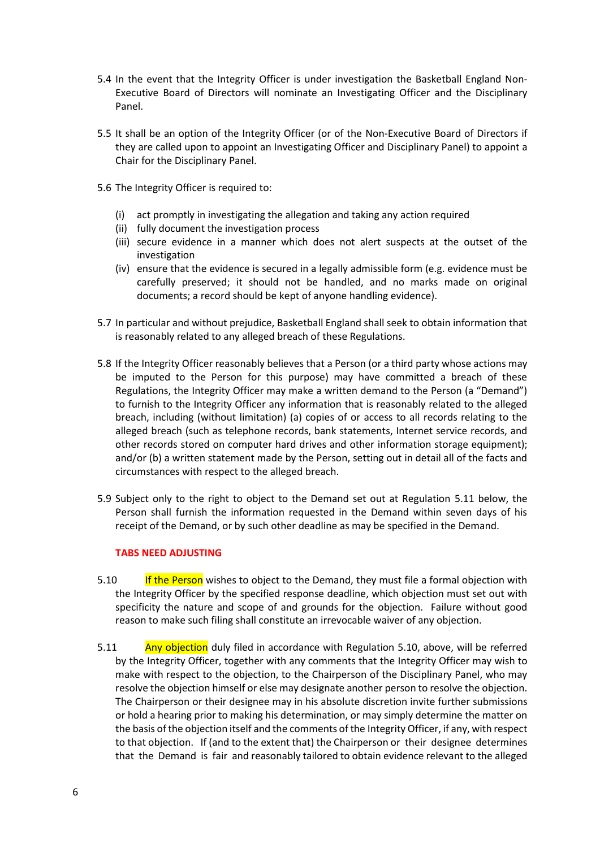- 5.4 In the event that the Integrity Officer is under investigation the Basketball England Non-Executive Board of Directors will nominate an Investigating Officer and the Disciplinary Panel.
- 5.5 It shall be an option of the Integrity Officer (or of the Non-Executive Board of Directors if they are called upon to appoint an Investigating Officer and Disciplinary Panel) to appoint a Chair for the Disciplinary Panel.
- 5.6 The Integrity Officer is required to:
	- (i) act promptly in investigating the allegation and taking any action required
	- (ii) fully document the investigation process
	- (iii) secure evidence in a manner which does not alert suspects at the outset of the investigation
	- (iv) ensure that the evidence is secured in a legally admissible form (e.g. evidence must be carefully preserved; it should not be handled, and no marks made on original documents; a record should be kept of anyone handling evidence).
- 5.7 In particular and without prejudice, Basketball England shall seek to obtain information that is reasonably related to any alleged breach of these Regulations.
- 5.8 If the Integrity Officer reasonably believes that a Person (or a third party whose actions may be imputed to the Person for this purpose) may have committed a breach of these Regulations, the Integrity Officer may make a written demand to the Person (a "Demand") to furnish to the Integrity Officer any information that is reasonably related to the alleged breach, including (without limitation) (a) copies of or access to all records relating to the alleged breach (such as telephone records, bank statements, Internet service records, and other records stored on computer hard drives and other information storage equipment); and/or (b) a written statement made by the Person, setting out in detail all of the facts and circumstances with respect to the alleged breach.
- 5.9 Subject only to the right to object to the Demand set out at Regulation 5.11 below, the Person shall furnish the information requested in the Demand within seven days of his receipt of the Demand, or by such other deadline as may be specified in the Demand.

#### **TABS NEED ADJUSTING**

- 5.10 If the Person wishes to object to the Demand, they must file a formal objection with the Integrity Officer by the specified response deadline, which objection must set out with specificity the nature and scope of and grounds for the objection. Failure without good reason to make such filing shall constitute an irrevocable waiver of any objection.
- 5.11 Any objection duly filed in accordance with Regulation 5.10, above, will be referred by the Integrity Officer, together with any comments that the Integrity Officer may wish to make with respect to the objection, to the Chairperson of the Disciplinary Panel, who may resolve the objection himself or else may designate another person to resolve the objection. The Chairperson or their designee may in his absolute discretion invite further submissions or hold a hearing prior to making his determination, or may simply determine the matter on the basis of the objection itself and the comments of the Integrity Officer, if any, with respect to that objection. If (and to the extent that) the Chairperson or their designee determines that the Demand is fair and reasonably tailored to obtain evidence relevant to the alleged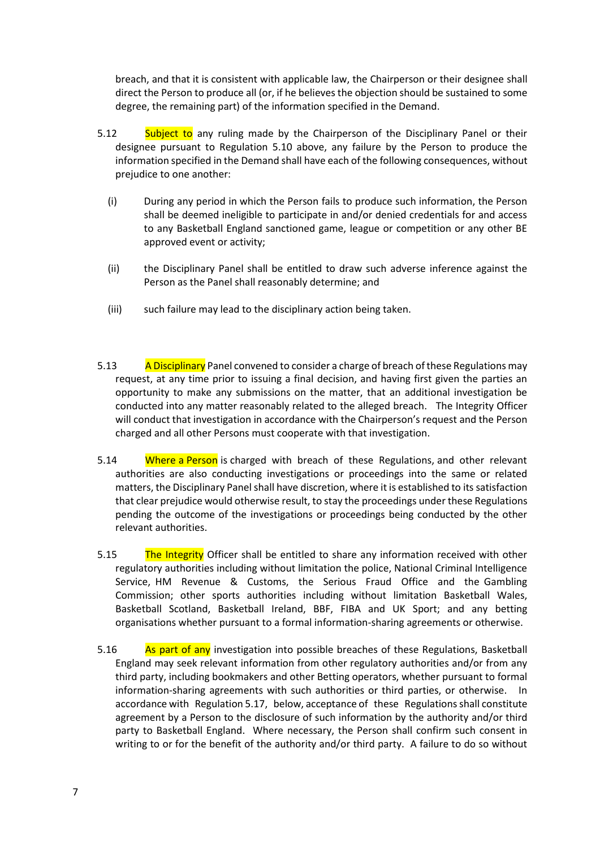breach, and that it is consistent with applicable law, the Chairperson or their designee shall direct the Person to produce all (or, if he believes the objection should be sustained to some degree, the remaining part) of the information specified in the Demand.

- 5.12 Subject to any ruling made by the Chairperson of the Disciplinary Panel or their designee pursuant to Regulation 5.10 above, any failure by the Person to produce the information specified in the Demand shall have each of the following consequences, without prejudice to one another:
	- (i) During any period in which the Person fails to produce such information, the Person shall be deemed ineligible to participate in and/or denied credentials for and access to any Basketball England sanctioned game, league or competition or any other BE approved event or activity;
	- (ii) the Disciplinary Panel shall be entitled to draw such adverse inference against the Person as the Panel shall reasonably determine; and
	- (iii) such failure may lead to the disciplinary action being taken.
- 5.13 A Disciplinary Panel convened to consider a charge of breach of these Regulations may request, at any time prior to issuing a final decision, and having first given the parties an opportunity to make any submissions on the matter, that an additional investigation be conducted into any matter reasonably related to the alleged breach. The Integrity Officer will conduct that investigation in accordance with the Chairperson's request and the Person charged and all other Persons must cooperate with that investigation.
- 5.14 Where a Person is charged with breach of these Regulations, and other relevant authorities are also conducting investigations or proceedings into the same or related matters, the Disciplinary Panel shall have discretion, where it is established to its satisfaction that clear prejudice would otherwise result, to stay the proceedings under these Regulations pending the outcome of the investigations or proceedings being conducted by the other relevant authorities.
- 5.15 The Integrity Officer shall be entitled to share any information received with other regulatory authorities including without limitation the police, National Criminal Intelligence Service, HM Revenue & Customs, the Serious Fraud Office and the Gambling Commission; other sports authorities including without limitation Basketball Wales, Basketball Scotland, Basketball Ireland, BBF, FIBA and UK Sport; and any betting organisations whether pursuant to a formal information-sharing agreements or otherwise.
- 5.16 As part of any investigation into possible breaches of these Regulations, Basketball England may seek relevant information from other regulatory authorities and/or from any third party, including bookmakers and other Betting operators, whether pursuant to formal information-sharing agreements with such authorities or third parties, or otherwise. In accordance with Regulation 5.17, below, acceptance of these Regulations shall constitute agreement by a Person to the disclosure of such information by the authority and/or third party to Basketball England. Where necessary, the Person shall confirm such consent in writing to or for the benefit of the authority and/or third party. A failure to do so without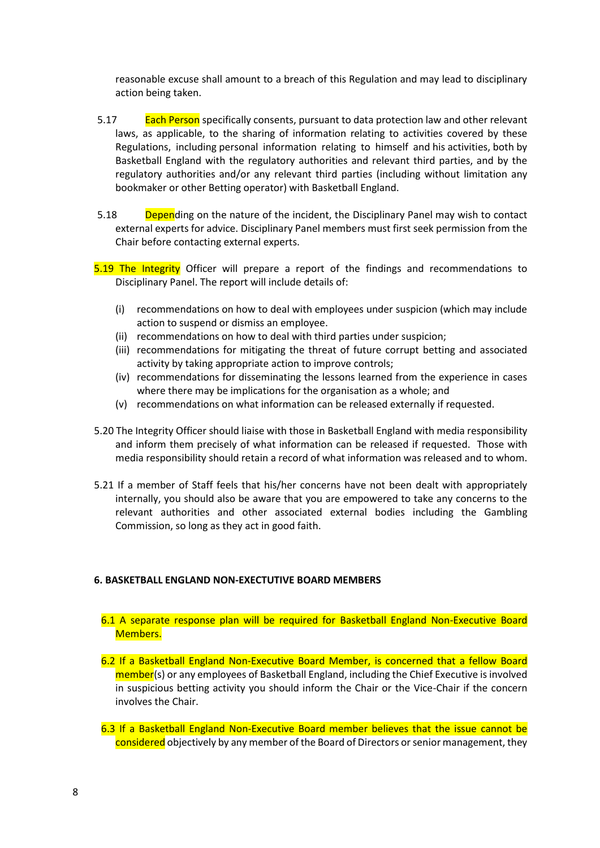reasonable excuse shall amount to a breach of this Regulation and may lead to disciplinary action being taken.

- 5.17 **Each Person** specifically consents, pursuant to data protection law and other relevant laws, as applicable, to the sharing of information relating to activities covered by these Regulations, including personal information relating to himself and his activities, both by Basketball England with the regulatory authorities and relevant third parties, and by the regulatory authorities and/or any relevant third parties (including without limitation any bookmaker or other Betting operator) with Basketball England.
- 5.18 Depending on the nature of the incident, the Disciplinary Panel may wish to contact external experts for advice. Disciplinary Panel members must first seek permission from the Chair before contacting external experts.
- 5.19 The Integrity Officer will prepare a report of the findings and recommendations to Disciplinary Panel. The report will include details of:
	- (i) recommendations on how to deal with employees under suspicion (which may include action to suspend or dismiss an employee.
	- (ii) recommendations on how to deal with third parties under suspicion;
	- (iii) recommendations for mitigating the threat of future corrupt betting and associated activity by taking appropriate action to improve controls;
	- (iv) recommendations for disseminating the lessons learned from the experience in cases where there may be implications for the organisation as a whole; and
	- (v) recommendations on what information can be released externally if requested.
- 5.20 The Integrity Officer should liaise with those in Basketball England with media responsibility and inform them precisely of what information can be released if requested. Those with media responsibility should retain a record of what information was released and to whom.
- 5.21 If a member of Staff feels that his/her concerns have not been dealt with appropriately internally, you should also be aware that you are empowered to take any concerns to the relevant authorities and other associated external bodies including the Gambling Commission, so long as they act in good faith.

#### **6. BASKETBALL ENGLAND NON-EXECTUTIVE BOARD MEMBERS**

- 6.1 A separate response plan will be required for Basketball England Non-Executive Board Members.
- 6.2 If a Basketball England Non-Executive Board Member, is concerned that a fellow Board member(s) or any employees of Basketball England, including the Chief Executive is involved in suspicious betting activity you should inform the Chair or the Vice-Chair if the concern involves the Chair.
- 6.3 If a Basketball England Non-Executive Board member believes that the issue cannot be considered objectively by any member of the Board of Directors or senior management, they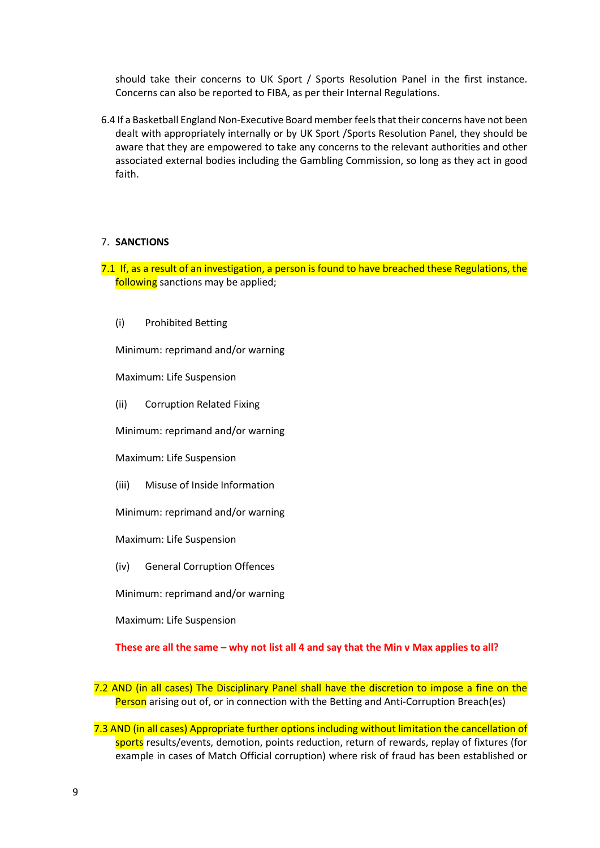should take their concerns to UK Sport / Sports Resolution Panel in the first instance. Concerns can also be reported to FIBA, as per their Internal Regulations.

6.4 If a Basketball England Non-Executive Board member feels that their concerns have not been dealt with appropriately internally or by UK Sport /Sports Resolution Panel, they should be aware that they are empowered to take any concerns to the relevant authorities and other associated external bodies including the Gambling Commission, so long as they act in good faith.

#### 7. **SANCTIONS**

7.1 If, as a result of an investigation, a person is found to have breached these Regulations, the following sanctions may be applied;

(i) Prohibited Betting

Minimum: reprimand and/or warning

Maximum: Life Suspension

(ii) Corruption Related Fixing

Minimum: reprimand and/or warning

Maximum: Life Suspension

(iii) Misuse of Inside Information

Minimum: reprimand and/or warning

Maximum: Life Suspension

(iv) General Corruption Offences

Minimum: reprimand and/or warning

Maximum: Life Suspension

**These are all the same – why not list all 4 and say that the Min v Max applies to all?**

- 7.2 AND (in all cases) The Disciplinary Panel shall have the discretion to impose a fine on the Person arising out of, or in connection with the Betting and Anti-Corruption Breach(es)
- 7.3 AND (in all cases) Appropriate further options including without limitation the cancellation of sports results/events, demotion, points reduction, return of rewards, replay of fixtures (for example in cases of Match Official corruption) where risk of fraud has been established or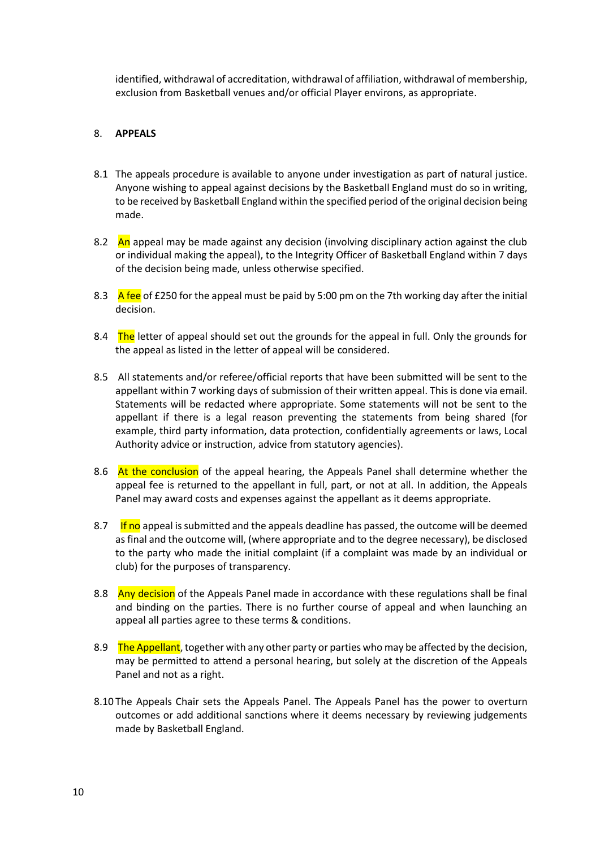identified, withdrawal of accreditation, withdrawal of affiliation, withdrawal of membership, exclusion from Basketball venues and/or official Player environs, as appropriate.

#### 8. **APPEALS**

- 8.1 The appeals procedure is available to anyone under investigation as part of natural justice. Anyone wishing to appeal against decisions by the Basketball England must do so in writing, to be received by Basketball England within the specified period of the original decision being made.
- 8.2 An appeal may be made against any decision (involving disciplinary action against the club or individual making the appeal), to the Integrity Officer of Basketball England within 7 days of the decision being made, unless otherwise specified.
- 8.3 A fee of £250 for the appeal must be paid by 5:00 pm on the 7th working day after the initial decision.
- 8.4 The letter of appeal should set out the grounds for the appeal in full. Only the grounds for the appeal as listed in the letter of appeal will be considered.
- 8.5 All statements and/or referee/official reports that have been submitted will be sent to the appellant within 7 working days of submission of their written appeal. This is done via email. Statements will be redacted where appropriate. Some statements will not be sent to the appellant if there is a legal reason preventing the statements from being shared (for example, third party information, data protection, confidentially agreements or laws, Local Authority advice or instruction, advice from statutory agencies).
- 8.6 At the conclusion of the appeal hearing, the Appeals Panel shall determine whether the appeal fee is returned to the appellant in full, part, or not at all. In addition, the Appeals Panel may award costs and expenses against the appellant as it deems appropriate.
- 8.7 If no appeal is submitted and the appeals deadline has passed, the outcome will be deemed as final and the outcome will, (where appropriate and to the degree necessary), be disclosed to the party who made the initial complaint (if a complaint was made by an individual or club) for the purposes of transparency.
- 8.8 Any decision of the Appeals Panel made in accordance with these regulations shall be final and binding on the parties. There is no further course of appeal and when launching an appeal all parties agree to these terms & conditions.
- 8.9 The Appellant, together with any other party or parties who may be affected by the decision, may be permitted to attend a personal hearing, but solely at the discretion of the Appeals Panel and not as a right.
- 8.10 The Appeals Chair sets the Appeals Panel. The Appeals Panel has the power to overturn outcomes or add additional sanctions where it deems necessary by reviewing judgements made by Basketball England.